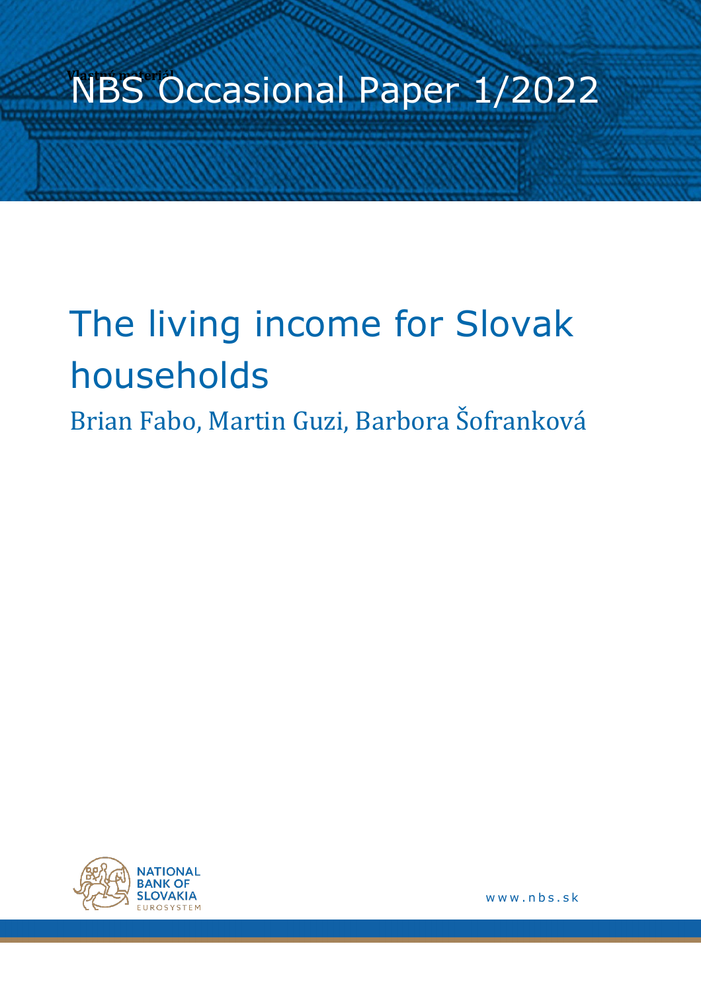# **NBS Occasional Paper 1/2022**

# The living income for Slovak households

Brian Fabo, Martin Guzi, Barbora Šofranková



www.nbs.sk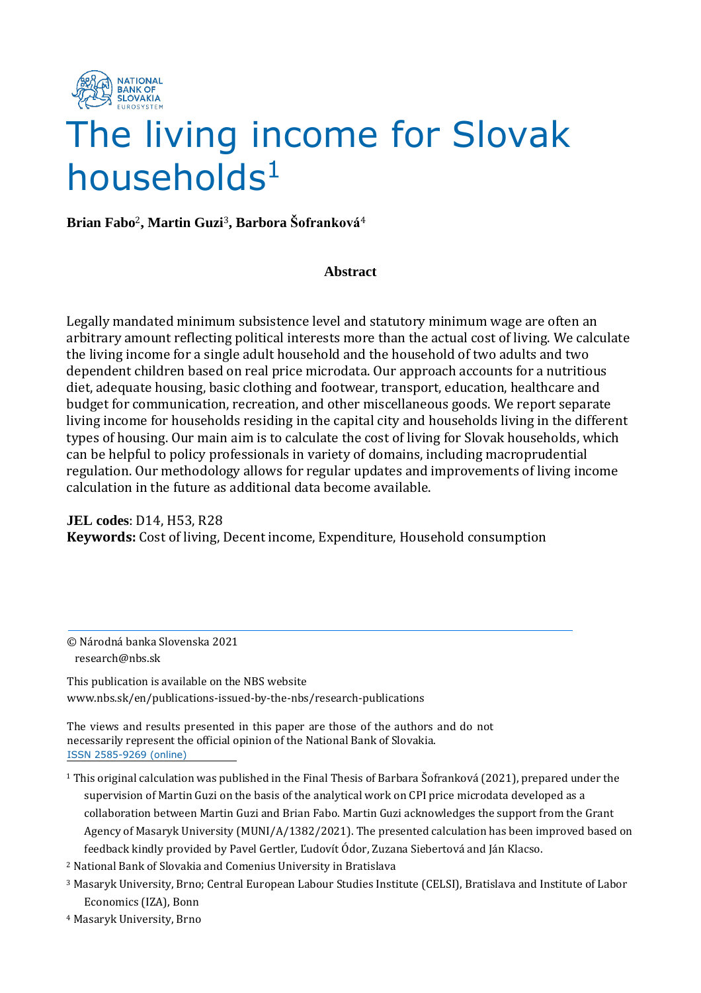

## The living income for Slovak  $h$ ouseholds $1$

**Brian Fabo**2**, Martin Guzi**3**, Barbora Šofranková**<sup>4</sup>

### **Abstract**

Legally mandated minimum subsistence level and statutory minimum wage are often an arbitrary amount reflecting political interests more than the actual cost of living. We calculate the living income for a single adult household and the household of two adults and two dependent children based on real price microdata. Our approach accounts for a nutritious diet, adequate housing, basic clothing and footwear, transport, education, healthcare and budget for communication, recreation, and other miscellaneous goods. We report separate living income for households residing in the capital city and households living in the different types of housing. Our main aim is to calculate the cost of living for Slovak households, which can be helpful to policy professionals in variety of domains, including macroprudential regulation. Our methodology allows for regular updates and improvements of living income calculation in the future as additional data become available.

**JEL codes**: D14, H53, R28 **Keywords:** Cost of living, Decent income, Expenditure, Household consumption

© Národná banka Slovenska 2021 research@nbs.sk

This publication is available on the NBS website www.nbs.sk/en/publications-issued-by-the-nbs/research-publications

The views and results presented in this paper are those of the authors and do not necessarily represent the official opinion of the National Bank of Slovakia. ISSN 2585-9269 (online)

- <sup>1</sup> This original calculation was published in the Final Thesis of Barbara Šofranková (2021), prepared under the supervision of Martin Guzi on the basis of the analytical work on CPI price microdata developed as a collaboration between Martin Guzi and Brian Fabo. Martin Guzi acknowledges the support from the Grant Agency of Masaryk University (MUNI/A/1382/2021). The presented calculation has been improved based on feedback kindly provided by Pavel Gertler, Ľudovít Ódor, Zuzana Siebertová and Ján Klacso.
- <sup>2</sup> National Bank of Slovakia and Comenius University in Bratislava
- <sup>3</sup> Masaryk University, Brno; Central European Labour Studies Institute (CELSI), Bratislava and Institute of Labor Economics (IZA), Bonn
- <sup>4</sup> Masaryk University, Brno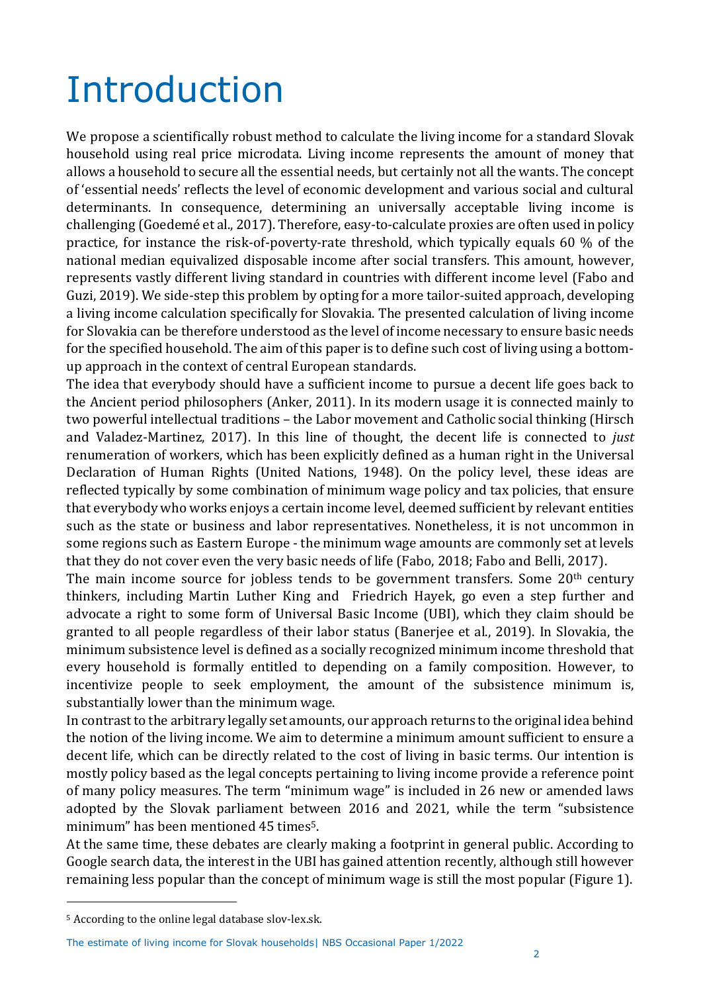## Introduction

We propose a scientifically robust method to calculate the living income for a standard Slovak household using real price microdata. Living income represents the amount of money that allows a household to secure all the essential needs, but certainly not all the wants. The concept of 'essential needs' reflects the level of economic development and various social and cultural determinants. In consequence, determining an universally acceptable living income is challenging (Goedemé et al., 2017). Therefore, easy-to-calculate proxies are often used in policy practice, for instance the risk-of-poverty-rate threshold, which typically equals 60 % of the national median equivalized disposable income after social transfers. This amount, however, represents vastly different living standard in countries with different income level (Fabo and Guzi, 2019). We side-step this problem by opting for a more tailor-suited approach, developing a living income calculation specifically for Slovakia. The presented calculation of living income for Slovakia can be therefore understood as the level of income necessary to ensure basic needs for the specified household. The aim of this paper is to define such cost of living using a bottomup approach in the context of central European standards.

The idea that everybody should have a sufficient income to pursue a decent life goes back to the Ancient period philosophers (Anker, 2011). In its modern usage it is connected mainly to two powerful intellectual traditions – the Labor movement and Catholic social thinking (Hirsch and Valadez-Martinez, 2017). In this line of thought, the decent life is connected to *just* renumeration of workers, which has been explicitly defined as a human right in the Universal Declaration of Human Rights (United Nations, 1948). On the policy level, these ideas are reflected typically by some combination of minimum wage policy and tax policies, that ensure that everybody who works enjoys a certain income level, deemed sufficient by relevant entities such as the state or business and labor representatives. Nonetheless, it is not uncommon in some regions such as Eastern Europe - the minimum wage amounts are commonly set at levels that they do not cover even the very basic needs of life (Fabo, 2018; Fabo and Belli, 2017).

The main income source for jobless tends to be government transfers. Some 20<sup>th</sup> century thinkers, including Martin Luther King and Friedrich Hayek, go even a step further and advocate a right to some form of Universal Basic Income (UBI), which they claim should be granted to all people regardless of their labor status (Banerjee et al., 2019). In Slovakia, the minimum subsistence level is defined as a socially recognized minimum income threshold that every household is formally entitled to depending on a family composition. However, to incentivize people to seek employment, the amount of the subsistence minimum is, substantially lower than the minimum wage.

In contrast to the arbitrary legally set amounts, our approach returns to the original idea behind the notion of the living income. We aim to determine a minimum amount sufficient to ensure a decent life, which can be directly related to the cost of living in basic terms. Our intention is mostly policy based as the legal concepts pertaining to living income provide a reference point of many policy measures. The term "minimum wage" is included in 26 new or amended laws adopted by the Slovak parliament between 2016 and 2021, while the term "subsistence minimum" has been mentioned 45 times<sup>5</sup>.

At the same time, these debates are clearly making a footprint in general public. According to Google search data, the interest in the UBI has gained attention recently, although still however remaining less popular than the concept of minimum wage is still the most popular (Figure 1).

<sup>5</sup> According to the online legal database slov-lex.sk.

The estimate of living income for Slovak households| NBS Occasional Paper 1/2022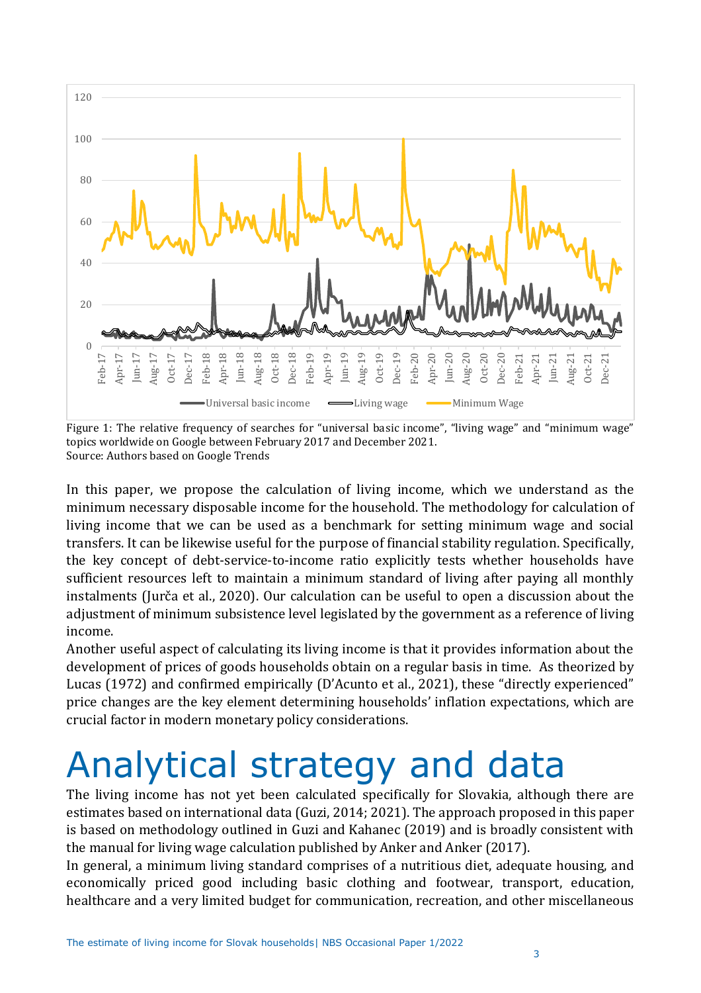

Figure 1: The relative frequency of searches for "universal basic income", "living wage" and "minimum wage" topics worldwide on Google between February 2017 and December 2021. Source: Authors based on Google Trends

In this paper, we propose the calculation of living income, which we understand as the minimum necessary disposable income for the household. The methodology for calculation of living income that we can be used as a benchmark for setting minimum wage and social transfers. It can be likewise useful for the purpose of financial stability regulation. Specifically, the key concept of debt-service-to-income ratio explicitly tests whether households have sufficient resources left to maintain a minimum standard of living after paying all monthly instalments (Jurča et al., 2020). Our calculation can be useful to open a discussion about the adjustment of minimum subsistence level legislated by the government as a reference of living income.

Another useful aspect of calculating its living income is that it provides information about the development of prices of goods households obtain on a regular basis in time. As theorized by Lucas (1972) and confirmed empirically (D'Acunto et al., 2021), these "directly experienced" price changes are the key element determining households' inflation expectations, which are crucial factor in modern monetary policy considerations.

## Analytical strategy and data

The living income has not yet been calculated specifically for Slovakia, although there are estimates based on international data (Guzi, 2014; 2021). The approach proposed in this paper is based on methodology outlined in Guzi and Kahanec (2019) and is broadly consistent with the manual for living wage calculation published by Anker and Anker (2017).

In general, a minimum living standard comprises of a nutritious diet, adequate housing, and economically priced good including basic clothing and footwear, transport, education, healthcare and a very limited budget for communication, recreation, and other miscellaneous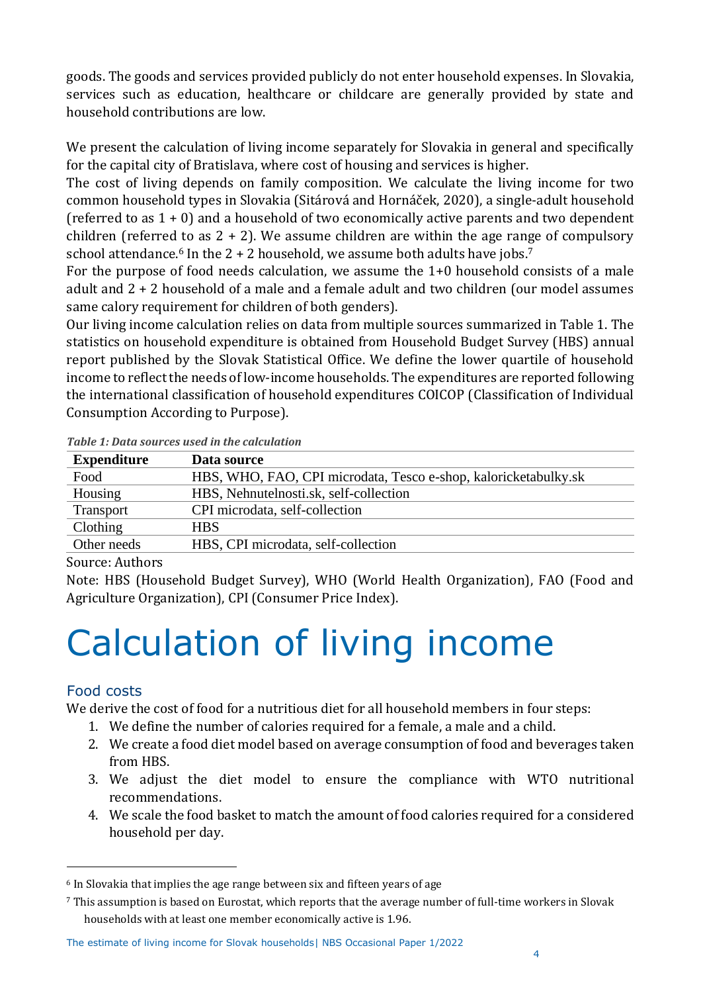goods. The goods and services provided publicly do not enter household expenses. In Slovakia, services such as education, healthcare or childcare are generally provided by state and household contributions are low.

We present the calculation of living income separately for Slovakia in general and specifically for the capital city of Bratislava, where cost of housing and services is higher.

The cost of living depends on family composition. We calculate the living income for two common household types in Slovakia (Sitárová and Hornáček, 2020), a single-adult household (referred to as 1 + 0) and a household of two economically active parents and two dependent children (referred to as  $2 + 2$ ). We assume children are within the age range of compulsory school attendance. <sup>6</sup> In the 2 + 2 household, we assume both adults have jobs. 7

For the purpose of food needs calculation, we assume the 1+0 household consists of a male adult and 2 + 2 household of a male and a female adult and two children (our model assumes same calory requirement for children of both genders).

Our living income calculation relies on data from multiple sources summarized in Table 1. The statistics on household expenditure is obtained from Household Budget Survey (HBS) annual report published by the Slovak Statistical Office. We define the lower quartile of household income to reflect the needs of low-income households. The expenditures are reported following the international classification of household expenditures COICOP (Classification of Individual Consumption According to Purpose).

| <b>Expenditure</b> | Data source                                                     |
|--------------------|-----------------------------------------------------------------|
| Food               | HBS, WHO, FAO, CPI microdata, Tesco e-shop, kaloricketabulky.sk |
| Housing            | HBS, Nehnutelnosti.sk, self-collection                          |
| Transport          | CPI microdata, self-collection                                  |
| Clothing           | <b>HBS</b>                                                      |
| Other needs        | HBS, CPI microdata, self-collection                             |
| Course Authors     |                                                                 |

*Table 1: Data sources used in the calculation*

### Source: Authors

Note: HBS (Household Budget Survey), WHO (World Health Organization), FAO (Food and Agriculture Organization), CPI (Consumer Price Index).

## Calculation of living income

## Food costs

We derive the cost of food for a nutritious diet for all household members in four steps:

- 1. We define the number of calories required for a female, a male and a child.
- 2. We create a food diet model based on average consumption of food and beverages taken from HBS.
- 3. We adjust the diet model to ensure the compliance with WTO nutritional recommendations.
- 4. We scale the food basket to match the amount of food calories required for a considered household per day.

#### The estimate of living income for Slovak households| NBS Occasional Paper 1/2022

<sup>6</sup> In Slovakia that implies the age range between six and fifteen years of age

<sup>7</sup> This assumption is based on Eurostat, which reports that the average number of full-time workers in Slovak households with at least one member economically active is 1.96.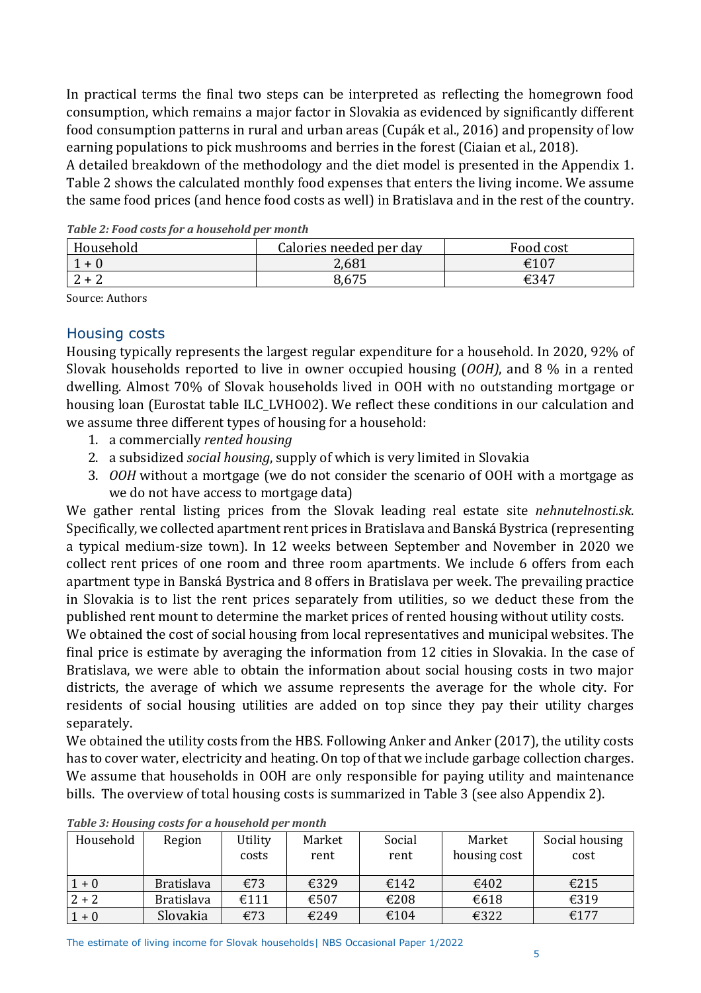In practical terms the final two steps can be interpreted as reflecting the homegrown food consumption, which remains a major factor in Slovakia as evidenced by significantly different food consumption patterns in rural and urban areas (Cupák et al., 2016) and propensity of low earning populations to pick mushrooms and berries in the forest (Ciaian et al., 2018).

A detailed breakdown of the methodology and the diet model is presented in the Appendix 1. Table 2 shows the calculated monthly food expenses that enters the living income. We assume the same food prices (and hence food costs as well) in Bratislava and in the rest of the country.

| Household | Calories needed per day | Food cost |
|-----------|-------------------------|-----------|
|           | 2,681                   | €107      |
|           | 8,675                   | €347      |

*Table 2: Food costs for a household per month*

Source: Authors

## Housing costs

Housing typically represents the largest regular expenditure for a household. In 2020, 92% of Slovak households reported to live in owner occupied housing (*OOH)*, and 8 % in a rented dwelling. Almost 70% of Slovak households lived in OOH with no outstanding mortgage or housing loan (Eurostat table ILC\_LVHO02). We reflect these conditions in our calculation and we assume three different types of housing for a household:

- 1. a commercially *rented housing*
- 2. a subsidized *social housing*, supply of which is very limited in Slovakia
- 3. *OOH* without a mortgage (we do not consider the scenario of OOH with a mortgage as we do not have access to mortgage data)

We gather rental listing prices from the Slovak leading real estate site *nehnutelnosti.sk*. Specifically, we collected apartment rent prices in Bratislava and Banská Bystrica (representing a typical medium-size town). In 12 weeks between September and November in 2020 we collect rent prices of one room and three room apartments. We include 6 offers from each apartment type in Banská Bystrica and 8 offers in Bratislava per week. The prevailing practice in Slovakia is to list the rent prices separately from utilities, so we deduct these from the published rent mount to determine the market prices of rented housing without utility costs.

We obtained the cost of social housing from local representatives and municipal websites. The final price is estimate by averaging the information from 12 cities in Slovakia. In the case of Bratislava, we were able to obtain the information about social housing costs in two major districts, the average of which we assume represents the average for the whole city. For residents of social housing utilities are added on top since they pay their utility charges separately.

We obtained the utility costs from the HBS. Following Anker and Anker (2017), the utility costs has to cover water, electricity and heating. On top of that we include garbage collection charges. We assume that households in OOH are only responsible for paying utility and maintenance bills. The overview of total housing costs is summarized in Table 3 (see also Appendix 2).

| Household | Region            | Utility<br>costs | Market<br>rent | Social<br>rent | Market<br>housing cost | Social housing<br>cost |
|-----------|-------------------|------------------|----------------|----------------|------------------------|------------------------|
| $1 + 0$   | <b>Bratislava</b> | €73              | €329           | €142           | €402                   | €215                   |
| $2 + 2$   | <b>Bratislava</b> | €111             | €507           | €208           | €618                   | €319                   |
| $1 + 0$   | Slovakia          | €73              | €249           | €104           | €322                   | €177                   |

*Table 3: Housing costs for a household per month*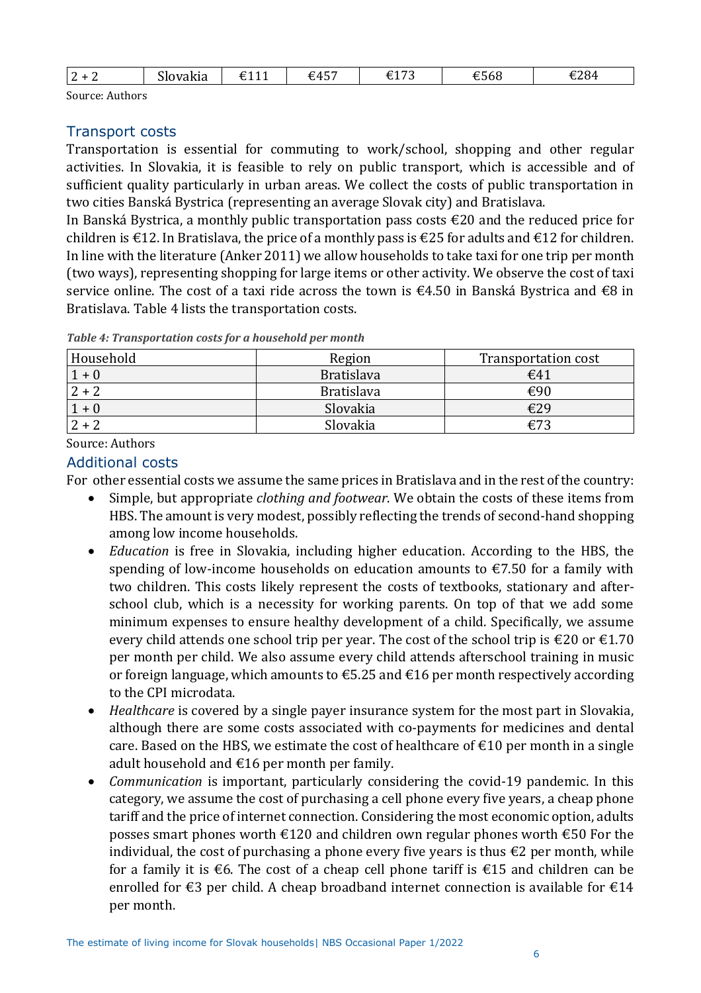| $\sim$<br><u>.</u> | --<br>ovakia<br>31 C | 0.4.4.4<br>ᅜᅩᆂ | $+45$<br><b>UTJ</b> | $\sim$ $\sim$ $\sim$<br>$-$<br>_<br>. .<br>$ -$ | $\sim$ $\sim$<br>$\sim$<br>£568 | €284<br>$  -$ |
|--------------------|----------------------|----------------|---------------------|-------------------------------------------------|---------------------------------|---------------|
|                    |                      |                |                     |                                                 |                                 |               |

Source: Authors

### Transport costs

Transportation is essential for commuting to work/school, shopping and other regular activities. In Slovakia, it is feasible to rely on public transport, which is accessible and of sufficient quality particularly in urban areas. We collect the costs of public transportation in two cities Banská Bystrica (representing an average Slovak city) and Bratislava.

In Banská Bystrica, a monthly public transportation pass costs €20 and the reduced price for children is  $\epsilon$ 12. In Bratislava, the price of a monthly pass is  $\epsilon$ 25 for adults and  $\epsilon$ 12 for children. In line with the literature (Anker 2011) we allow households to take taxi for one trip per month (two ways), representing shopping for large items or other activity. We observe the cost of taxi service online. The cost of a taxi ride across the town is €4.50 in Banská Bystrica and €8 in Bratislava. Table 4 lists the transportation costs.

| Household | Region            | Transportation cost |
|-----------|-------------------|---------------------|
| $1 + 0$   | <b>Bratislava</b> | $\epsilon$ 41       |
| $2 + 2$   | <b>Bratislava</b> | €90                 |
| $1 + 0$   | Slovakia          | €29                 |
|           | Slovakia          | €73                 |

*Table 4: Transportation costs for a household per month*

Source: Authors

### Additional costs

For other essential costs we assume the same prices in Bratislava and in the rest of the country:

- Simple, but appropriate *clothing and footwear*. We obtain the costs of these items from HBS. The amount is very modest, possibly reflecting the trends of second-hand shopping among low income households.
- *Education* is free in Slovakia, including higher education. According to the HBS, the spending of low-income households on education amounts to  $\epsilon$ 7.50 for a family with two children. This costs likely represent the costs of textbooks, stationary and afterschool club, which is a necessity for working parents. On top of that we add some minimum expenses to ensure healthy development of a child. Specifically, we assume every child attends one school trip per year. The cost of the school trip is  $\epsilon$ 20 or  $\epsilon$ 1.70 per month per child. We also assume every child attends afterschool training in music or foreign language, which amounts to  $\epsilon$ 5.25 and  $\epsilon$ 16 per month respectively according to the CPI microdata.
- *Healthcare* is covered by a single payer insurance system for the most part in Slovakia, although there are some costs associated with co-payments for medicines and dental care. Based on the HBS, we estimate the cost of healthcare of  $\epsilon$ 10 per month in a single adult household and  $\epsilon$ 16 per month per family.
- *Communication* is important, particularly considering the covid-19 pandemic. In this category, we assume the cost of purchasing a cell phone every five years, a cheap phone tariff and the price of internet connection. Considering the most economic option, adults posses smart phones worth €120 and children own regular phones worth €50 For the individual, the cost of purchasing a phone every five years is thus  $\epsilon$ 2 per month, while for a family it is €6. The cost of a cheap cell phone tariff is €15 and children can be enrolled for  $\epsilon$ 3 per child. A cheap broadband internet connection is available for  $\epsilon$ 14 per month.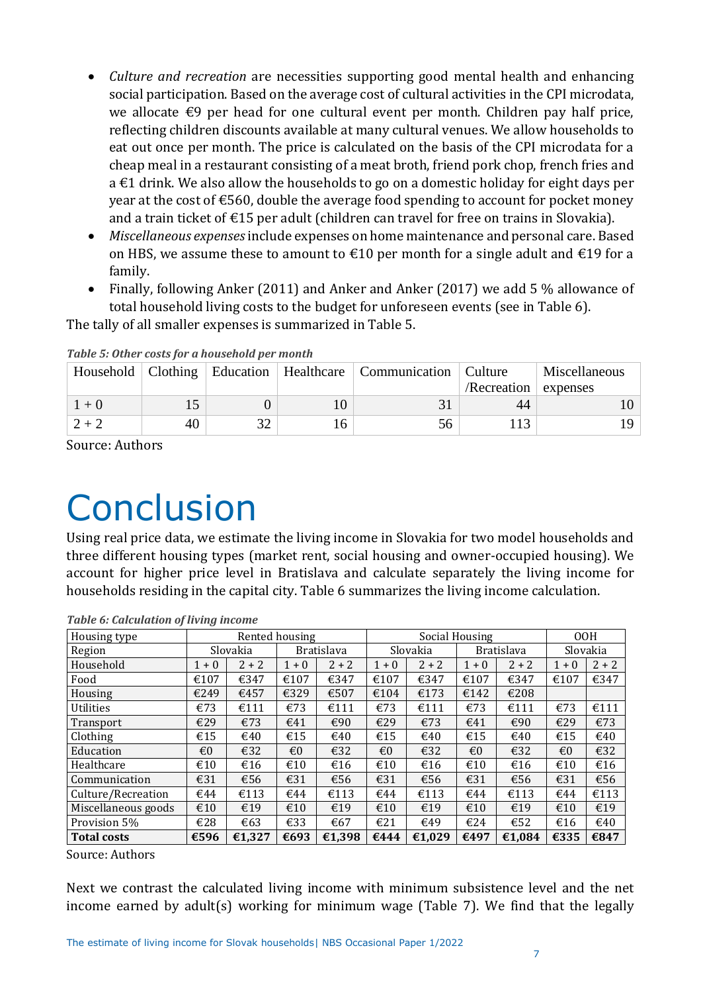- *Culture and recreation* are necessities supporting good mental health and enhancing social participation. Based on the average cost of cultural activities in the CPI microdata, we allocate  $\epsilon$ 9 per head for one cultural event per month. Children pay half price, reflecting children discounts available at many cultural venues. We allow households to eat out once per month. The price is calculated on the basis of the CPI microdata for a cheap meal in a restaurant consisting of a meat broth, friend pork chop, french fries and a €1 drink. We also allow the households to go on a domestic holiday for eight days per year at the cost of €560, double the average food spending to account for pocket money and a train ticket of €15 per adult (children can travel for free on trains in Slovakia).
- *Miscellaneous expenses*include expenses on home maintenance and personal care. Based on HBS, we assume these to amount to  $\epsilon$ 10 per month for a single adult and  $\epsilon$ 19 for a family.
- Finally, following Anker (2011) and Anker and Anker (2017) we add 5 % allowance of total household living costs to the budget for unforeseen events (see in Table 6).

The tally of all smaller expenses is summarized in Table 5.

|         |    |  | Household   Clothing   Education   Healthcare   Communication   Culture |                      | Miscellaneous |
|---------|----|--|-------------------------------------------------------------------------|----------------------|---------------|
|         |    |  |                                                                         | /Recreation expenses |               |
| $1 + 0$ |    |  |                                                                         | 44                   |               |
| $2 + 2$ | 40 |  |                                                                         |                      |               |

*Table 5: Other costs for a household per month*

Source: Authors

## **Conclusion**

Using real price data, we estimate the living income in Slovakia for two model households and three different housing types (market rent, social housing and owner-occupied housing). We account for higher price level in Bratislava and calculate separately the living income for households residing in the capital city. Table 6 summarizes the living income calculation.

| Housing type        |         |          | Rented housing |                   |         |          | Social Housing |                   |                         | 00H      |
|---------------------|---------|----------|----------------|-------------------|---------|----------|----------------|-------------------|-------------------------|----------|
| Region              |         | Slovakia |                | <b>Bratislava</b> |         | Slovakia |                | <b>Bratislava</b> |                         | Slovakia |
| Household           | $1 + 0$ | $2 + 2$  | $1 + 0$        | $2 + 2$           | $1 + 0$ | $2 + 2$  | $1 + 0$        | $2 + 2$           | $1 + 0$                 | $2 + 2$  |
| Food                | €107    | €347     | €107           | €347              | €107    | €347     | €107           | €347              | €107                    | €347     |
| Housing             | €249    | €457     | €329           | €507              | €104    | €173     | €142           | €208              |                         |          |
| <b>Utilities</b>    | €73     | €111     | €73            | €111              | €73     | €111     | €73            | €111              | €73                     | €111     |
| Transport           | €29     | €73      | €41            | €90               | €29     | €73      | €41            | €90               | €29                     | €73      |
| Clothing            | €15     | €40      | €15            | €40               | €15     | €40      | €15            | €40               | €15                     | €40      |
| Education           | €0      | €32      | $\epsilon$ 0   | €32               | €0      | €32      | $\epsilon$ 0   | €32               | $\epsilon$ <sub>0</sub> | €32      |
| Healthcare          | €10     | €16      | €10            | €16               | €10     | €16      | €10            | €16               | €10                     | €16      |
| Communication       | €31     | €56      | €31            | €56               | €31     | €56      | €31            | €56               | €31                     | €56      |
| Culture/Recreation  | €44     | €113     | €44            | €113              | €44     | €113     | €44            | €113              | €44                     | €113     |
| Miscellaneous goods | €10     | €19      | €10            | €19               | €10     | €19      | €10            | €19               | €10                     | €19      |
| Provision 5%        | €28     | €63      | €33            | €67               | €21     | €49      | €24            | €52               | €16                     | €40      |
| <b>Total costs</b>  | €596    | €1,327   | €693           | €1,398            | €444    | €1,029   | €497           | €1,084            | €335                    | €847     |

*Table 6: Calculation of living income*

Source: Authors

Next we contrast the calculated living income with minimum subsistence level and the net income earned by adult(s) working for minimum wage (Table 7). We find that the legally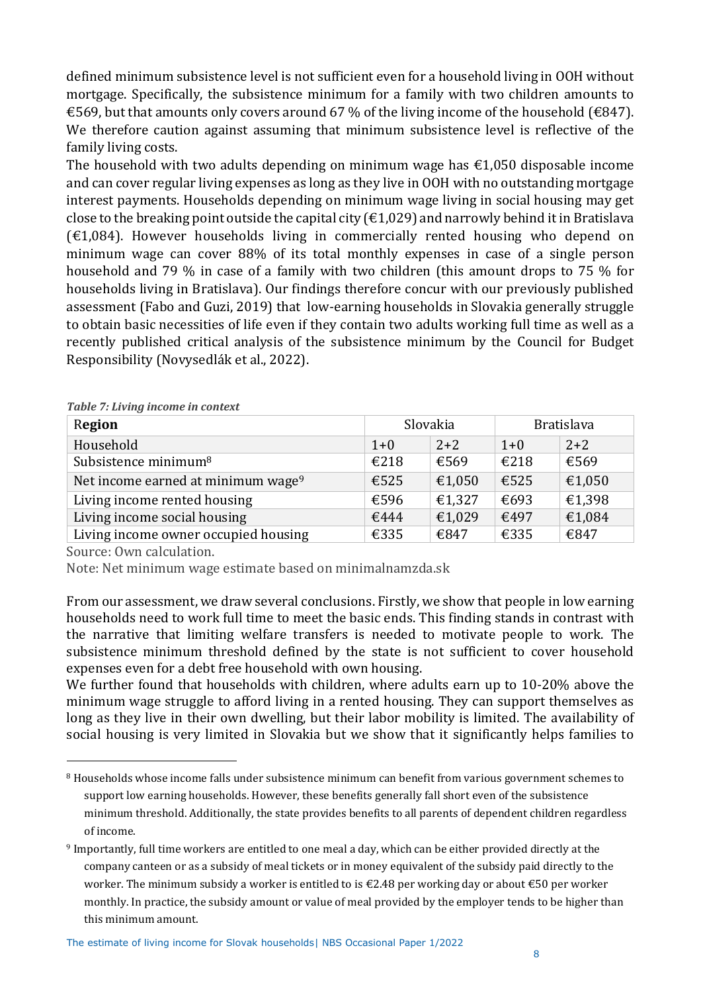defined minimum subsistence level is not sufficient even for a household living in OOH without mortgage. Specifically, the subsistence minimum for a family with two children amounts to €569, but that amounts only covers around 67 % of the living income of the household (€847). We therefore caution against assuming that minimum subsistence level is reflective of the family living costs.

The household with two adults depending on minimum wage has  $\epsilon$ 1,050 disposable income and can cover regular living expenses as long as they live in OOH with no outstanding mortgage interest payments. Households depending on minimum wage living in social housing may get close to the breaking point outside the capital city ( $\epsilon$ 1,029) and narrowly behind it in Bratislava  $(£1,084)$ . However households living in commercially rented housing who depend on minimum wage can cover 88% of its total monthly expenses in case of a single person household and 79 % in case of a family with two children (this amount drops to 75 % for households living in Bratislava). Our findings therefore concur with our previously published assessment (Fabo and Guzi, 2019) that low-earning households in Slovakia generally struggle to obtain basic necessities of life even if they contain two adults working full time as well as a recently published critical analysis of the subsistence minimum by the Council for Budget Responsibility (Novysedlák et al., 2022).

| Region                                         |       | Slovakia | <b>Bratislava</b> |        |
|------------------------------------------------|-------|----------|-------------------|--------|
| Household                                      | $1+0$ | $2 + 2$  | $1 + 0$           | $2+2$  |
| Subsistence minimum <sup>8</sup>               | €218  | €569     | €218              | €569   |
| Net income earned at minimum wage <sup>9</sup> | €525  | €1,050   | €525              | €1,050 |
| Living income rented housing                   | €596  | €1,327   | €693              | €1,398 |
| Living income social housing                   | €444  | €1,029   | €497              | €1,084 |
| Living income owner occupied housing           | €335  | €847     | €335              | €847   |

*Table 7: Living income in context*

Source: Own calculation.

Note: Net minimum wage estimate based on minimalnamzda.sk

From our assessment, we draw several conclusions. Firstly, we show that people in low earning households need to work full time to meet the basic ends. This finding stands in contrast with the narrative that limiting welfare transfers is needed to motivate people to work. The subsistence minimum threshold defined by the state is not sufficient to cover household expenses even for a debt free household with own housing.

We further found that households with children, where adults earn up to 10-20% above the minimum wage struggle to afford living in a rented housing. They can support themselves as long as they live in their own dwelling, but their labor mobility is limited. The availability of social housing is very limited in Slovakia but we show that it significantly helps families to

<sup>8</sup> Households whose income falls under subsistence minimum can benefit from various government schemes to support low earning households. However, these benefits generally fall short even of the subsistence minimum threshold. Additionally, the state provides benefits to all parents of dependent children regardless of income.

<sup>9</sup> Importantly, full time workers are entitled to one meal a day, which can be either provided directly at the company canteen or as a subsidy of meal tickets or in money equivalent of the subsidy paid directly to the worker. The minimum subsidy a worker is entitled to is €2.48 per working day or about €50 per worker monthly. In practice, the subsidy amount or value of meal provided by the employer tends to be higher than this minimum amount.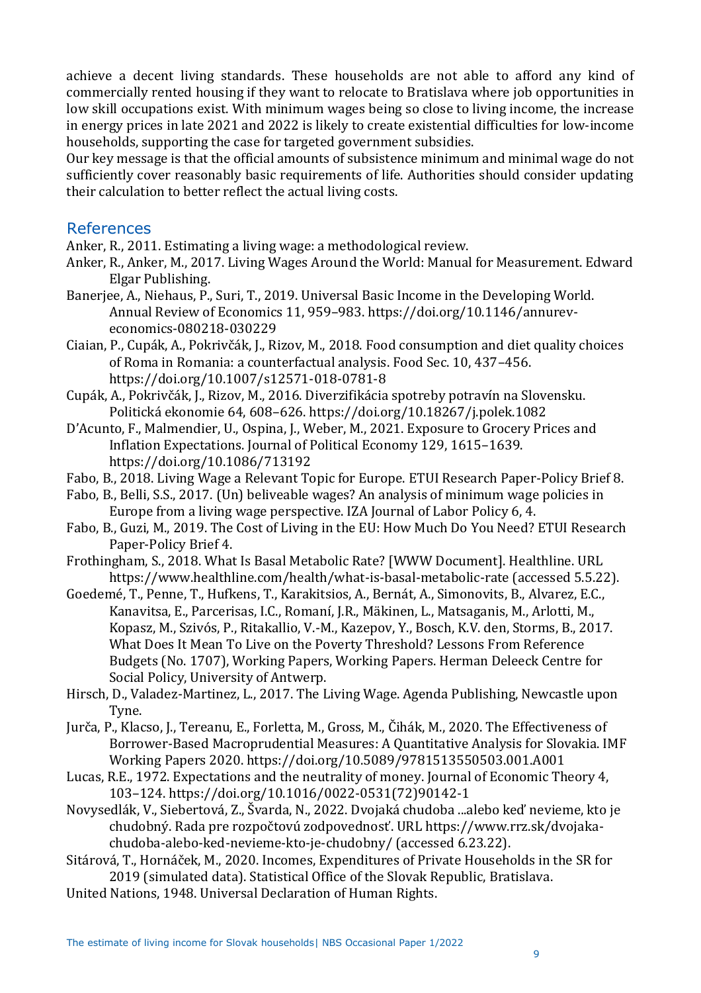achieve a decent living standards. These households are not able to afford any kind of commercially rented housing if they want to relocate to Bratislava where job opportunities in low skill occupations exist. With minimum wages being so close to living income, the increase in energy prices in late 2021 and 2022 is likely to create existential difficulties for low-income households, supporting the case for targeted government subsidies.

Our key message is that the official amounts of subsistence minimum and minimal wage do not sufficiently cover reasonably basic requirements of life. Authorities should consider updating their calculation to better reflect the actual living costs.

### References

Anker, R., 2011. Estimating a living wage: a methodological review.

- Anker, R., Anker, M., 2017. Living Wages Around the World: Manual for Measurement. Edward Elgar Publishing.
- Banerjee, A., Niehaus, P., Suri, T., 2019. Universal Basic Income in the Developing World. Annual Review of Economics 11, 959–983. https://doi.org/10.1146/annureveconomics-080218-030229
- Ciaian, P., Cupák, A., Pokrivčák, J., Rizov, M., 2018. Food consumption and diet quality choices of Roma in Romania: a counterfactual analysis. Food Sec. 10, 437–456. https://doi.org/10.1007/s12571-018-0781-8
- Cupák, A., Pokrivčák, J., Rizov, M., 2016. Diverzifikácia spotreby potravín na Slovensku. Politická ekonomie 64, 608–626. https://doi.org/10.18267/j.polek.1082
- D'Acunto, F., Malmendier, U., Ospina, J., Weber, M., 2021. Exposure to Grocery Prices and Inflation Expectations. Journal of Political Economy 129, 1615–1639. https://doi.org/10.1086/713192
- Fabo, B., 2018. Living Wage a Relevant Topic for Europe. ETUI Research Paper-Policy Brief 8.
- Fabo, B., Belli, S.S., 2017. (Un) beliveable wages? An analysis of minimum wage policies in Europe from a living wage perspective. IZA Journal of Labor Policy 6, 4.
- Fabo, B., Guzi, M., 2019. The Cost of Living in the EU: How Much Do You Need? ETUI Research Paper-Policy Brief 4.
- Frothingham, S., 2018. What Is Basal Metabolic Rate? [WWW Document]. Healthline. URL https://www.healthline.com/health/what-is-basal-metabolic-rate (accessed 5.5.22).
- Goedemé, T., Penne, T., Hufkens, T., Karakitsios, A., Bernát, A., Simonovits, B., Alvarez, E.C., Kanavitsa, E., Parcerisas, I.C., Romaní, J.R., Mäkinen, L., Matsaganis, M., Arlotti, M., Kopasz, M., Szivós, P., Ritakallio, V.-M., Kazepov, Y., Bosch, K.V. den, Storms, B., 2017. What Does It Mean To Live on the Poverty Threshold? Lessons From Reference Budgets (No. 1707), Working Papers, Working Papers. Herman Deleeck Centre for Social Policy, University of Antwerp.
- Hirsch, D., Valadez-Martinez, L., 2017. The Living Wage. Agenda Publishing, Newcastle upon Tyne.
- Jurča, P., Klacso, J., Tereanu, E., Forletta, M., Gross, M., Čihák, M., 2020. The Effectiveness of Borrower-Based Macroprudential Measures: A Quantitative Analysis for Slovakia. IMF Working Papers 2020. https://doi.org/10.5089/9781513550503.001.A001
- Lucas, R.E., 1972. Expectations and the neutrality of money. Journal of Economic Theory 4, 103–124. https://doi.org/10.1016/0022-0531(72)90142-1
- Novysedlák, V., Siebertová, Z., Švarda, N., 2022. Dvojaká chudoba ...alebo keď nevieme, kto je chudobný. Rada pre rozpočtovú zodpovednosť. URL https://www.rrz.sk/dvojakachudoba-alebo-ked-nevieme-kto-je-chudobny/ (accessed 6.23.22).
- Sitárová, T., Hornáček, M., 2020. Incomes, Expenditures of Private Households in the SR for 2019 (simulated data). Statistical Office of the Slovak Republic, Bratislava.
- United Nations, 1948. Universal Declaration of Human Rights.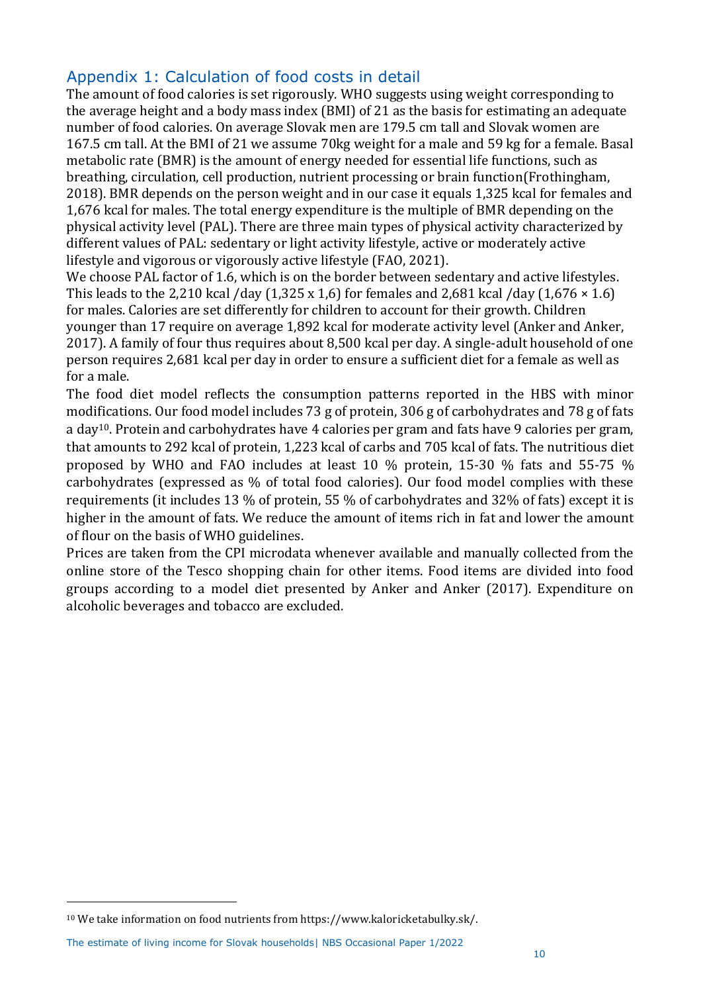## Appendix 1: Calculation of food costs in detail

The amount of food calories is set rigorously. WHO suggests using weight corresponding to the average height and a body mass index (BMI) of 21 as the basis for estimating an adequate number of food calories. On average Slovak men are 179.5 cm tall and Slovak women are 167.5 cm tall. At the BMI of 21 we assume 70kg weight for a male and 59 kg for a female. Basal metabolic rate (BMR) is the amount of energy needed for essential life functions, such as breathing, circulation, cell production, nutrient processing or brain function(Frothingham, 2018). BMR depends on the person weight and in our case it equals 1,325 kcal for females and 1,676 kcal for males. The total energy expenditure is the multiple of BMR depending on the physical activity level (PAL). There are three main types of physical activity characterized by different values of PAL: sedentary or light activity lifestyle, active or moderately active lifestyle and vigorous or vigorously active lifestyle (FAO, 2021).

We choose PAL factor of 1.6, which is on the border between sedentary and active lifestyles. This leads to the 2,210 kcal /day  $(1,325 \times 1,6)$  for females and 2,681 kcal /day  $(1,676 \times 1.6)$ for males. Calories are set differently for children to account for their growth. Children younger than 17 require on average 1,892 kcal for moderate activity level (Anker and Anker, 2017). A family of four thus requires about 8,500 kcal per day. A single-adult household of one person requires 2,681 kcal per day in order to ensure a sufficient diet for a female as well as for a male.

The food diet model reflects the consumption patterns reported in the HBS with minor modifications. Our food model includes 73 g of protein, 306 g of carbohydrates and 78 g of fats a day10. Protein and carbohydrates have 4 calories per gram and fats have 9 calories per gram, that amounts to 292 kcal of protein, 1,223 kcal of carbs and 705 kcal of fats. The nutritious diet proposed by WHO and FAO includes at least 10 % protein, 15-30 % fats and 55-75 % carbohydrates (expressed as % of total food calories). Our food model complies with these requirements (it includes 13 % of protein, 55 % of carbohydrates and 32% of fats) except it is higher in the amount of fats. We reduce the amount of items rich in fat and lower the amount of flour on the basis of WHO guidelines.

Prices are taken from the CPI microdata whenever available and manually collected from the online store of the Tesco shopping chain for other items. Food items are divided into food groups according to a model diet presented by Anker and Anker (2017). Expenditure on alcoholic beverages and tobacco are excluded.

The estimate of living income for Slovak households| NBS Occasional Paper 1/2022

<sup>10</sup> We take information on food nutrients from https://www.kaloricketabulky.sk/.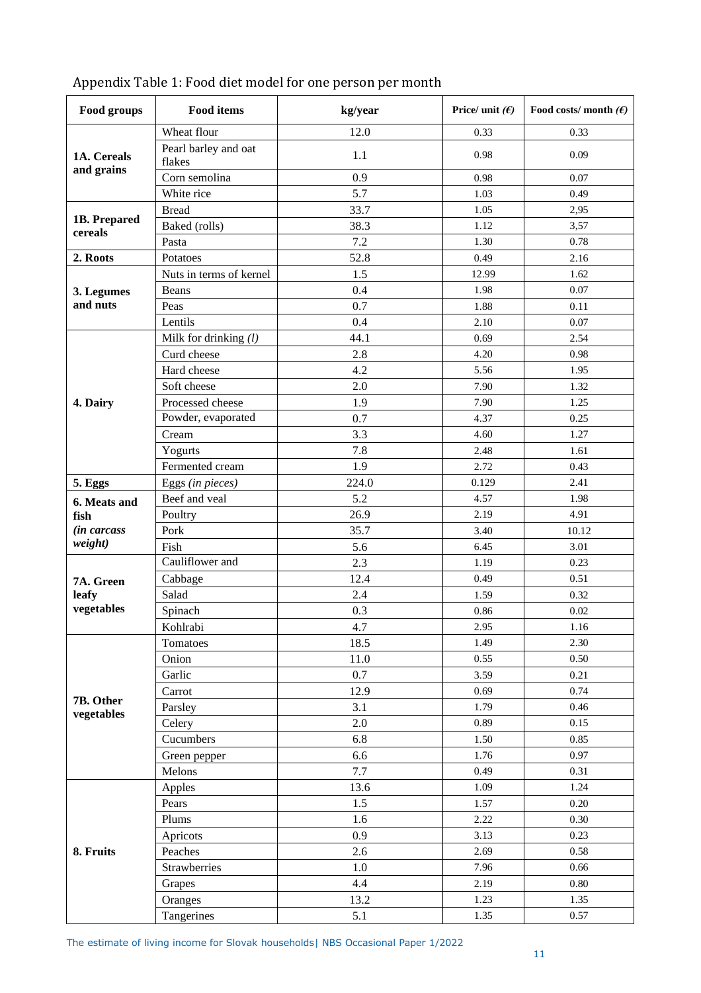| Food groups             | <b>Food items</b>              | kg/year | Price/ unit $(f)$ | Food costs/month $(E)$ |
|-------------------------|--------------------------------|---------|-------------------|------------------------|
|                         | Wheat flour                    | 12.0    | 0.33              | 0.33                   |
| 1A. Cereals             | Pearl barley and oat<br>flakes | 1.1     | 0.98              | 0.09                   |
| and grains              | Corn semolina                  | 0.9     | 0.98              | 0.07                   |
|                         | White rice                     | 5.7     | 1.03              | 0.49                   |
|                         | <b>Bread</b>                   | 33.7    | 1.05              | 2,95                   |
| 1B. Prepared<br>cereals | Baked (rolls)                  | 38.3    | 1.12              | 3,57                   |
|                         | Pasta                          | 7.2     | 1.30              | 0.78                   |
| 2. Roots                | Potatoes                       | 52.8    | 0.49              | 2.16                   |
|                         | Nuts in terms of kernel        | 1.5     | 12.99             | 1.62                   |
| 3. Legumes              | Beans                          | 0.4     | 1.98              | 0.07                   |
| and nuts                | Peas                           | 0.7     | 1.88              | 0.11                   |
|                         | Lentils                        | 0.4     | 2.10              | 0.07                   |
|                         | Milk for drinking $(l)$        | 44.1    | 0.69              | 2.54                   |
|                         | Curd cheese                    | 2.8     | 4.20              | 0.98                   |
|                         | Hard cheese                    | 4.2     | 5.56              | 1.95                   |
|                         | Soft cheese                    | 2.0     | 7.90              | 1.32                   |
| 4. Dairy                | Processed cheese               | 1.9     | 7.90              | 1.25                   |
|                         | Powder, evaporated             | 0.7     | 4.37              | 0.25                   |
|                         | Cream                          | 3.3     | 4.60              | 1.27                   |
|                         | Yogurts                        | 7.8     | 2.48              | 1.61                   |
|                         | Fermented cream                | 1.9     | 2.72              | 0.43                   |
| 5. Eggs                 | Eggs (in pieces)               | 224.0   | 0.129             | 2.41                   |
| 6. Meats and            | Beef and veal                  | 5.2     | 4.57              | 1.98                   |
| fish                    | Poultry                        | 26.9    | 2.19              | 4.91                   |
| (in carcass             | Pork                           | 35.7    | 3.40              | 10.12                  |
| weight)                 | Fish                           | 5.6     | 6.45              | 3.01                   |
|                         | Cauliflower and                | 2.3     | 1.19              | 0.23                   |
| 7A. Green               | Cabbage                        | 12.4    | 0.49              | 0.51                   |
| leafy                   | Salad                          | 2.4     | 1.59              | 0.32                   |
| vegetables              | Spinach                        | 0.3     | 0.86              | 0.02                   |
|                         | Kohlrabi                       | 4.7     | 2.95              | 1.16                   |
|                         | Tomatoes                       | 18.5    | 1.49              | 2.30                   |
|                         | Onion                          | 11.0    | 0.55              | 0.50                   |
|                         | Garlic                         | $0.7\,$ | 3.59              | 0.21                   |
|                         | Carrot                         | 12.9    | 0.69              | 0.74                   |
| 7B. Other<br>vegetables | Parsley                        | 3.1     | 1.79              | 0.46                   |
|                         | Celery                         | 2.0     | 0.89              | 0.15                   |
|                         | Cucumbers                      | 6.8     | 1.50              | 0.85                   |
|                         | Green pepper                   | 6.6     | 1.76              | 0.97                   |
|                         | Melons                         | 7.7     | 0.49              | 0.31                   |
|                         | Apples                         | 13.6    | 1.09              | 1.24                   |
|                         | Pears                          | 1.5     | 1.57              | 0.20                   |
|                         | Plums                          | 1.6     | 2.22              | 0.30                   |
|                         | Apricots                       | 0.9     | 3.13              | 0.23                   |
| 8. Fruits               | Peaches                        | 2.6     | 2.69              | 0.58                   |
|                         | Strawberries                   | 1.0     | 7.96              | 0.66                   |
|                         | Grapes                         | 4.4     | 2.19              | 0.80                   |
|                         | Oranges                        | 13.2    | 1.23              | 1.35                   |
|                         | Tangerines                     | 5.1     | 1.35              | 0.57                   |

## Appendix Table 1: Food diet model for one person per month

The estimate of living income for Slovak households| NBS Occasional Paper 1/2022